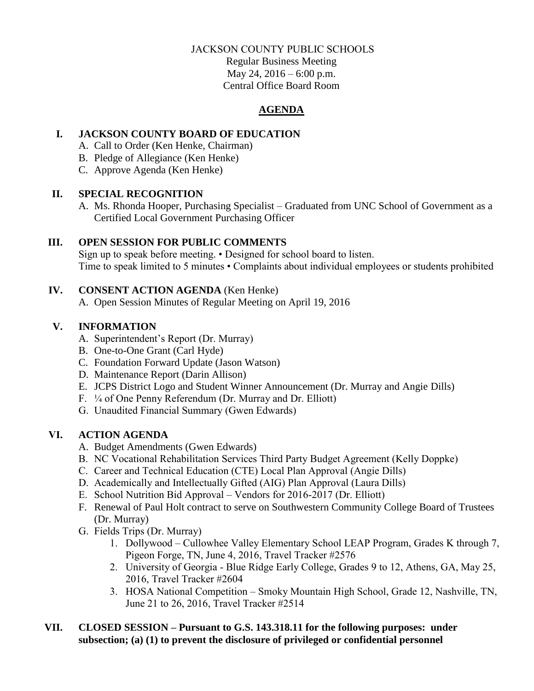### JACKSON COUNTY PUBLIC SCHOOLS

Regular Business Meeting May 24, 2016 – 6:00 p.m. Central Office Board Room

# **AGENDA**

# **I. JACKSON COUNTY BOARD OF EDUCATION**

- A. Call to Order (Ken Henke, Chairman)
- B. Pledge of Allegiance (Ken Henke)
- C. Approve Agenda (Ken Henke)

### **II. SPECIAL RECOGNITION**

A. Ms. Rhonda Hooper, Purchasing Specialist – Graduated from UNC School of Government as a Certified Local Government Purchasing Officer

# **III. OPEN SESSION FOR PUBLIC COMMENTS**

Sign up to speak before meeting. • Designed for school board to listen. Time to speak limited to 5 minutes • Complaints about individual employees or students prohibited

# **IV. CONSENT ACTION AGENDA** (Ken Henke)

A. Open Session Minutes of Regular Meeting on April 19, 2016

# **V. INFORMATION**

- A. Superintendent's Report (Dr. Murray)
- B. One-to-One Grant (Carl Hyde)
- C. Foundation Forward Update (Jason Watson)
- D. Maintenance Report (Darin Allison)
- E. JCPS District Logo and Student Winner Announcement (Dr. Murray and Angie Dills)
- F. ¼ of One Penny Referendum (Dr. Murray and Dr. Elliott)
- G. Unaudited Financial Summary (Gwen Edwards)

# **VI. ACTION AGENDA**

- A. Budget Amendments (Gwen Edwards)
- B. NC Vocational Rehabilitation Services Third Party Budget Agreement (Kelly Doppke)
- C. Career and Technical Education (CTE) Local Plan Approval (Angie Dills)
- D. Academically and Intellectually Gifted (AIG) Plan Approval (Laura Dills)
- E. School Nutrition Bid Approval Vendors for 2016-2017 (Dr. Elliott)
- F. Renewal of Paul Holt contract to serve on Southwestern Community College Board of Trustees (Dr. Murray)
- G. Fields Trips (Dr. Murray)
	- 1. Dollywood Cullowhee Valley Elementary School LEAP Program, Grades K through 7, Pigeon Forge, TN, June 4, 2016, Travel Tracker #2576
	- 2. University of Georgia Blue Ridge Early College, Grades 9 to 12, Athens, GA, May 25, 2016, Travel Tracker #2604
	- 3. HOSA National Competition Smoky Mountain High School, Grade 12, Nashville, TN, June 21 to 26, 2016, Travel Tracker #2514

# **VII. CLOSED SESSION – Pursuant to G.S. 143.318.11 for the following purposes: under subsection; (a) (1) to prevent the disclosure of privileged or confidential personnel**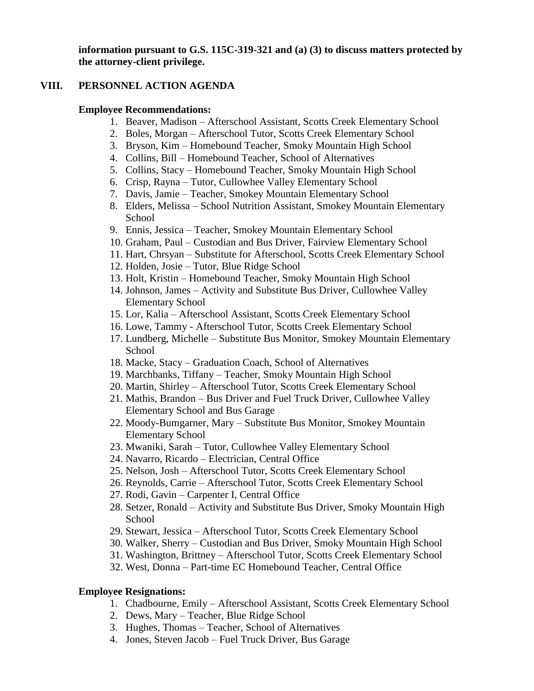**information pursuant to G.S. 115C-319-321 and (a) (3) to discuss matters protected by the attorney-client privilege.**

#### **VIII. PERSONNEL ACTION AGENDA**

#### **Employee Recommendations:**

- 1. Beaver, Madison Afterschool Assistant, Scotts Creek Elementary School
- 2. Boles, Morgan Afterschool Tutor, Scotts Creek Elementary School
- 3. Bryson, Kim Homebound Teacher, Smoky Mountain High School
- 4. Collins, Bill Homebound Teacher, School of Alternatives
- 5. Collins, Stacy Homebound Teacher, Smoky Mountain High School
- 6. Crisp, Rayna Tutor, Cullowhee Valley Elementary School
- 7. Davis, Jamie Teacher, Smokey Mountain Elementary School
- 8. Elders, Melissa School Nutrition Assistant, Smokey Mountain Elementary **School**
- 9. Ennis, Jessica Teacher, Smokey Mountain Elementary School
- 10. Graham, Paul Custodian and Bus Driver, Fairview Elementary School
- 11. Hart, Chrsyan Substitute for Afterschool, Scotts Creek Elementary School
- 12. Holden, Josie Tutor, Blue Ridge School
- 13. Holt, Kristin Homebound Teacher, Smoky Mountain High School
- 14. Johnson, James Activity and Substitute Bus Driver, Cullowhee Valley Elementary School
- 15. Lor, Kalia Afterschool Assistant, Scotts Creek Elementary School
- 16. Lowe, Tammy Afterschool Tutor, Scotts Creek Elementary School
- 17. Lundberg, Michelle Substitute Bus Monitor, Smokey Mountain Elementary School
- 18. Macke, Stacy Graduation Coach, School of Alternatives
- 19. Marchbanks, Tiffany Teacher, Smoky Mountain High School
- 20. Martin, Shirley Afterschool Tutor, Scotts Creek Elementary School
- 21. Mathis, Brandon Bus Driver and Fuel Truck Driver, Cullowhee Valley Elementary School and Bus Garage
- 22. Moody-Bumgarner, Mary Substitute Bus Monitor, Smokey Mountain Elementary School
- 23. Mwaniki, Sarah Tutor, Cullowhee Valley Elementary School
- 24. Navarro, Ricardo Electrician, Central Office
- 25. Nelson, Josh Afterschool Tutor, Scotts Creek Elementary School
- 26. Reynolds, Carrie Afterschool Tutor, Scotts Creek Elementary School
- 27. Rodi, Gavin Carpenter I, Central Office
- 28. Setzer, Ronald Activity and Substitute Bus Driver, Smoky Mountain High School
- 29. Stewart, Jessica Afterschool Tutor, Scotts Creek Elementary School
- 30. Walker, Sherry Custodian and Bus Driver, Smoky Mountain High School
- 31. Washington, Brittney Afterschool Tutor, Scotts Creek Elementary School
- 32. West, Donna Part-time EC Homebound Teacher, Central Office

#### **Employee Resignations:**

- 1. Chadbourne, Emily Afterschool Assistant, Scotts Creek Elementary School
- 2. Dews, Mary Teacher, Blue Ridge School
- 3. Hughes, Thomas Teacher, School of Alternatives
- 4. Jones, Steven Jacob Fuel Truck Driver, Bus Garage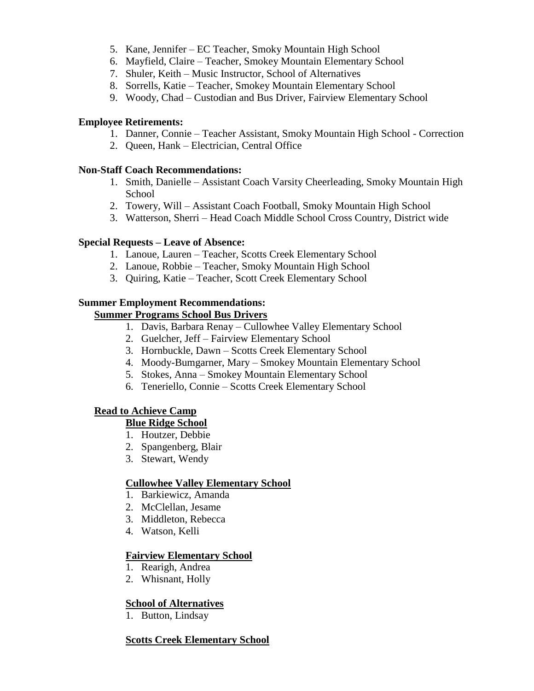- 5. Kane, Jennifer EC Teacher, Smoky Mountain High School
- 6. Mayfield, Claire Teacher, Smokey Mountain Elementary School
- 7. Shuler, Keith Music Instructor, School of Alternatives
- 8. Sorrells, Katie Teacher, Smokey Mountain Elementary School
- 9. Woody, Chad Custodian and Bus Driver, Fairview Elementary School

#### **Employee Retirements:**

- 1. Danner, Connie Teacher Assistant, Smoky Mountain High School Correction
- 2. Queen, Hank Electrician, Central Office

#### **Non-Staff Coach Recommendations:**

- 1. Smith, Danielle Assistant Coach Varsity Cheerleading, Smoky Mountain High School
- 2. Towery, Will Assistant Coach Football, Smoky Mountain High School
- 3. Watterson, Sherri Head Coach Middle School Cross Country, District wide

#### **Special Requests – Leave of Absence:**

- 1. Lanoue, Lauren Teacher, Scotts Creek Elementary School
- 2. Lanoue, Robbie Teacher, Smoky Mountain High School
- 3. Quiring, Katie Teacher, Scott Creek Elementary School

# **Summer Employment Recommendations:**

# **Summer Programs School Bus Drivers**

- 1. Davis, Barbara Renay Cullowhee Valley Elementary School
- 2. Guelcher, Jeff Fairview Elementary School
- 3. Hornbuckle, Dawn Scotts Creek Elementary School
- 4. Moody-Bumgarner, Mary Smokey Mountain Elementary School
- 5. Stokes, Anna Smokey Mountain Elementary School
- 6. Teneriello, Connie Scotts Creek Elementary School

#### **Read to Achieve Camp**

#### **Blue Ridge School**

- 1. Houtzer, Debbie
- 2. Spangenberg, Blair
- 3. Stewart, Wendy

#### **Cullowhee Valley Elementary School**

- 1. Barkiewicz, Amanda
- 2. McClellan, Jesame
- 3. Middleton, Rebecca
- 4. Watson, Kelli

#### **Fairview Elementary School**

- 1. Rearigh, Andrea
- 2. Whisnant, Holly

#### **School of Alternatives**

1. Button, Lindsay

#### **Scotts Creek Elementary School**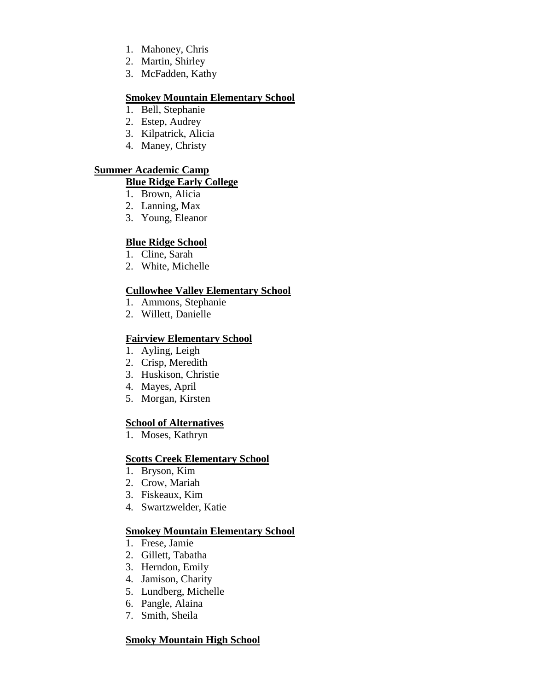- 1. Mahoney, Chris
- 2. Martin, Shirley
- 3. McFadden, Kathy

### **Smokey Mountain Elementary School**

- 1. Bell, Stephanie
- 2. Estep, Audrey
- 3. Kilpatrick, Alicia
- 4. Maney, Christy

# **Summer Academic Camp**

### **Blue Ridge Early College**

- 1. Brown, Alicia
- 2. Lanning, Max
- 3. Young, Eleanor

# **Blue Ridge School**

- 1. Cline, Sarah
- 2. White, Michelle

# **Cullowhee Valley Elementary School**

- 1. Ammons, Stephanie
- 2. Willett, Danielle

### **Fairview Elementary School**

- 1. Ayling, Leigh
- 2. Crisp, Meredith
- 3. Huskison, Christie
- 4. Mayes, April
- 5. Morgan, Kirsten

### **School of Alternatives**

1. Moses, Kathryn

### **Scotts Creek Elementary School**

- 1. Bryson, Kim
- 2. Crow, Mariah
- 3. Fiskeaux, Kim
- 4. Swartzwelder, Katie

### **Smokey Mountain Elementary School**

- 1. Frese, Jamie
- 2. Gillett, Tabatha
- 3. Herndon, Emily
- 4. Jamison, Charity
- 5. Lundberg, Michelle
- 6. Pangle, Alaina
- 7. Smith, Sheila

### **Smoky Mountain High School**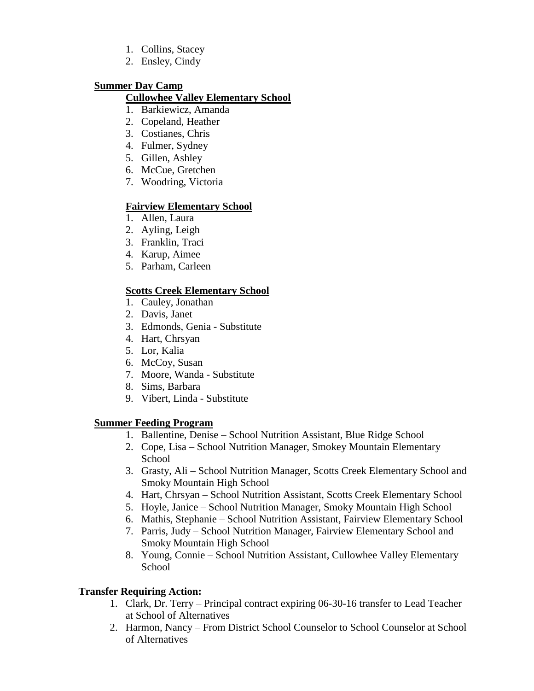- 1. Collins, Stacey
- 2. Ensley, Cindy

### **Summer Day Camp**

### **Cullowhee Valley Elementary School**

- 1. Barkiewicz, Amanda
- 2. Copeland, Heather
- 3. Costianes, Chris
- 4. Fulmer, Sydney
- 5. Gillen, Ashley
- 6. McCue, Gretchen
- 7. Woodring, Victoria

### **Fairview Elementary School**

- 1. Allen, Laura
- 2. Ayling, Leigh
- 3. Franklin, Traci
- 4. Karup, Aimee
- 5. Parham, Carleen

### **Scotts Creek Elementary School**

- 1. Cauley, Jonathan
- 2. Davis, Janet
- 3. Edmonds, Genia Substitute
- 4. Hart, Chrsyan
- 5. Lor, Kalia
- 6. McCoy, Susan
- 7. Moore, Wanda Substitute
- 8. Sims, Barbara
- 9. Vibert, Linda Substitute

#### **Summer Feeding Program**

- 1. Ballentine, Denise School Nutrition Assistant, Blue Ridge School
- 2. Cope, Lisa School Nutrition Manager, Smokey Mountain Elementary **School**
- 3. Grasty, Ali School Nutrition Manager, Scotts Creek Elementary School and Smoky Mountain High School
- 4. Hart, Chrsyan School Nutrition Assistant, Scotts Creek Elementary School
- 5. Hoyle, Janice School Nutrition Manager, Smoky Mountain High School
- 6. Mathis, Stephanie School Nutrition Assistant, Fairview Elementary School
- 7. Parris, Judy School Nutrition Manager, Fairview Elementary School and Smoky Mountain High School
- 8. Young, Connie School Nutrition Assistant, Cullowhee Valley Elementary **School**

### **Transfer Requiring Action:**

- 1. Clark, Dr. Terry Principal contract expiring 06-30-16 transfer to Lead Teacher at School of Alternatives
- 2. Harmon, Nancy From District School Counselor to School Counselor at School of Alternatives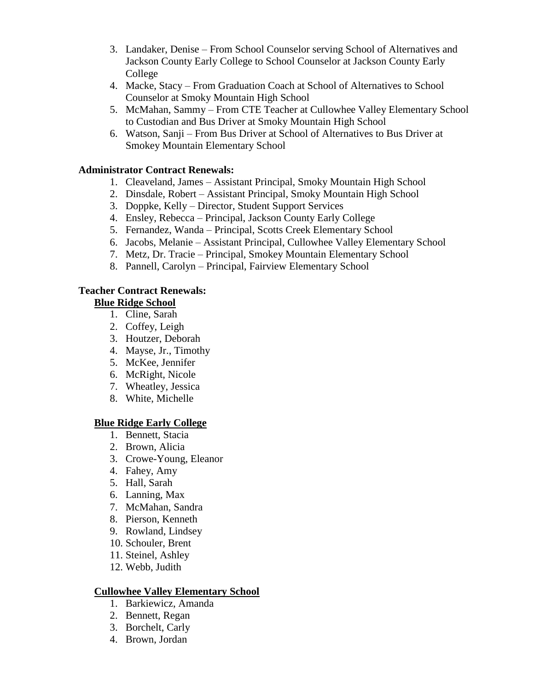- 3. Landaker, Denise From School Counselor serving School of Alternatives and Jackson County Early College to School Counselor at Jackson County Early College
- 4. Macke, Stacy From Graduation Coach at School of Alternatives to School Counselor at Smoky Mountain High School
- 5. McMahan, Sammy From CTE Teacher at Cullowhee Valley Elementary School to Custodian and Bus Driver at Smoky Mountain High School
- 6. Watson, Sanji From Bus Driver at School of Alternatives to Bus Driver at Smokey Mountain Elementary School

### **Administrator Contract Renewals:**

- 1. Cleaveland, James Assistant Principal, Smoky Mountain High School
- 2. Dinsdale, Robert Assistant Principal, Smoky Mountain High School
- 3. Doppke, Kelly Director, Student Support Services
- 4. Ensley, Rebecca Principal, Jackson County Early College
- 5. Fernandez, Wanda Principal, Scotts Creek Elementary School
- 6. Jacobs, Melanie Assistant Principal, Cullowhee Valley Elementary School
- 7. Metz, Dr. Tracie Principal, Smokey Mountain Elementary School
- 8. Pannell, Carolyn Principal, Fairview Elementary School

### **Teacher Contract Renewals:**

# **Blue Ridge School**

- 1. Cline, Sarah
- 2. Coffey, Leigh
- 3. Houtzer, Deborah
- 4. Mayse, Jr., Timothy
- 5. McKee, Jennifer
- 6. McRight, Nicole
- 7. Wheatley, Jessica
- 8. White, Michelle

### **Blue Ridge Early College**

- 1. Bennett, Stacia
- 2. Brown, Alicia
- 3. Crowe-Young, Eleanor
- 4. Fahey, Amy
- 5. Hall, Sarah
- 6. Lanning, Max
- 7. McMahan, Sandra
- 8. Pierson, Kenneth
- 9. Rowland, Lindsey
- 10. Schouler, Brent
- 11. Steinel, Ashley
- 12. Webb, Judith

#### **Cullowhee Valley Elementary School**

- 1. Barkiewicz, Amanda
- 2. Bennett, Regan
- 3. Borchelt, Carly
- 4. Brown, Jordan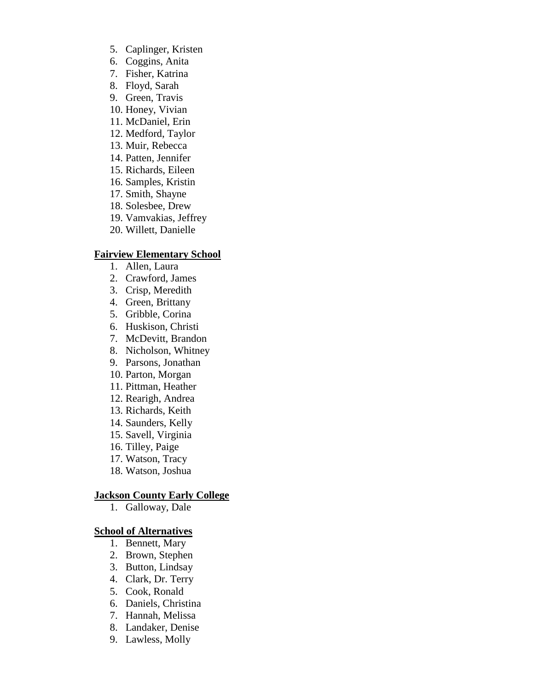- 5. Caplinger, Kristen
- 6. Coggins, Anita
- 7. Fisher, Katrina
- 8. Floyd, Sarah
- 9. Green, Travis
- 10. Honey, Vivian
- 11. McDaniel, Erin
- 12. Medford, Taylor
- 13. Muir, Rebecca
- 14. Patten, Jennifer
- 15. Richards, Eileen
- 16. Samples, Kristin
- 17. Smith, Shayne
- 18. Solesbee, Drew
- 19. Vamvakias, Jeffrey
- 20. Willett, Danielle

#### **Fairview Elementary School**

- 1. Allen, Laura
- 2. Crawford, James
- 3. Crisp, Meredith
- 4. Green, Brittany
- 5. Gribble, Corina
- 6. Huskison, Christi
- 7. McDevitt, Brandon
- 8. Nicholson, Whitney
- 9. Parsons, Jonathan
- 10. Parton, Morgan
- 11. Pittman, Heather
- 12. Rearigh, Andrea
- 13. Richards, Keith
- 14. Saunders, Kelly
- 15. Savell, Virginia
- 16. Tilley, Paige
- 17. Watson, Tracy
- 18. Watson, Joshua

#### **Jackson County Early College**

1. Galloway, Dale

#### **School of Alternatives**

- 1. Bennett, Mary
- 2. Brown, Stephen
- 3. Button, Lindsay
- 4. Clark, Dr. Terry
- 5. Cook, Ronald
- 6. Daniels, Christina
- 7. Hannah, Melissa
- 8. Landaker, Denise
- 9. Lawless, Molly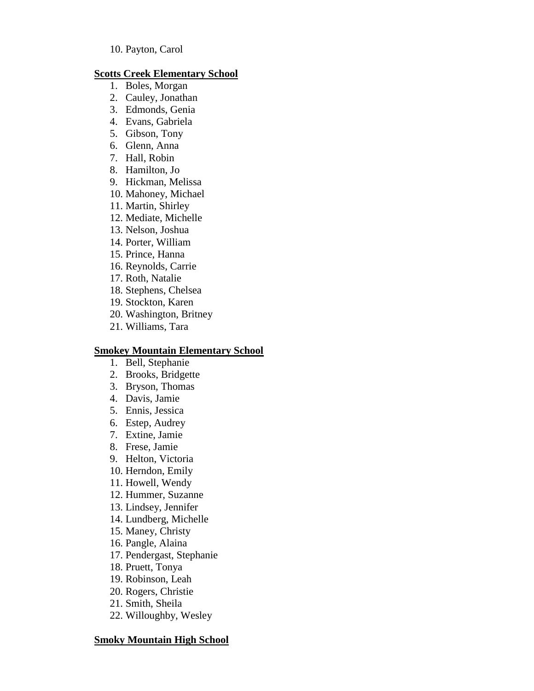#### **Scotts Creek Elementary School**

- 1. Boles, Morgan
- 2. Cauley, Jonathan
- 3. Edmonds, Genia
- 4. Evans, Gabriela
- 5. Gibson, Tony
- 6. Glenn, Anna
- 7. Hall, Robin
- 8. Hamilton, Jo
- 9. Hickman, Melissa
- 10. Mahoney, Michael
- 11. Martin, Shirley
- 12. Mediate, Michelle
- 13. Nelson, Joshua
- 14. Porter, William
- 15. Prince, Hanna
- 16. Reynolds, Carrie
- 17. Roth, Natalie
- 18. Stephens, Chelsea
- 19. Stockton, Karen
- 20. Washington, Britney
- 21. Williams, Tara

#### **Smokey Mountain Elementary School**

- 1. Bell, Stephanie
- 2. Brooks, Bridgette
- 3. Bryson, Thomas
- 4. Davis, Jamie
- 5. Ennis, Jessica
- 6. Estep, Audrey
- 7. Extine, Jamie
- 8. Frese, Jamie
- 9. Helton, Victoria
- 10. Herndon, Emily
- 11. Howell, Wendy
- 12. Hummer, Suzanne
- 13. Lindsey, Jennifer
- 14. Lundberg, Michelle
- 15. Maney, Christy
- 16. Pangle, Alaina
- 17. Pendergast, Stephanie
- 18. Pruett, Tonya
- 19. Robinson, Leah
- 20. Rogers, Christie
- 21. Smith, Sheila
- 22. Willoughby, Wesley

#### **Smoky Mountain High School**